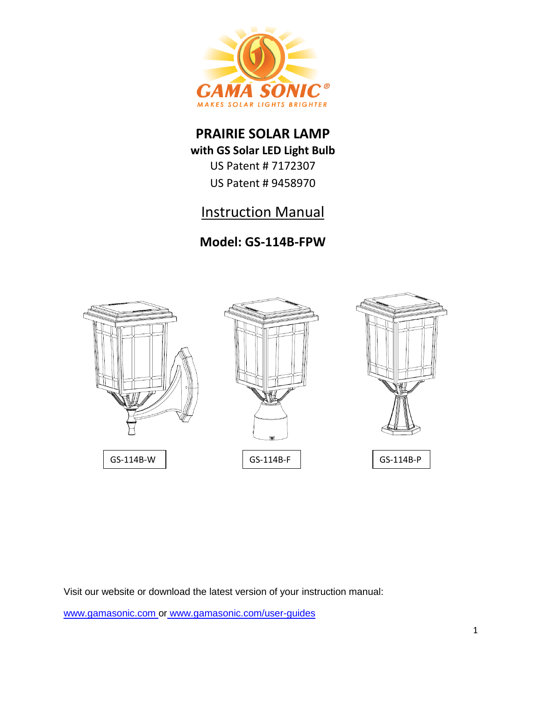

## **PRAIRIE SOLAR LAMP**

**with GS Solar LED Light Bulb**

US Patent # 7172307 US Patent # 9458970

# Instruction Manual

## **Model: GS-114B-FPW**



Visit our website or download the latest version of your instruction manual:

[www.gamasonic.com](http://www.gamasonic.com/) or [www.gamasonic.com/user-guides](http://www.gamasonic.com/user-guides)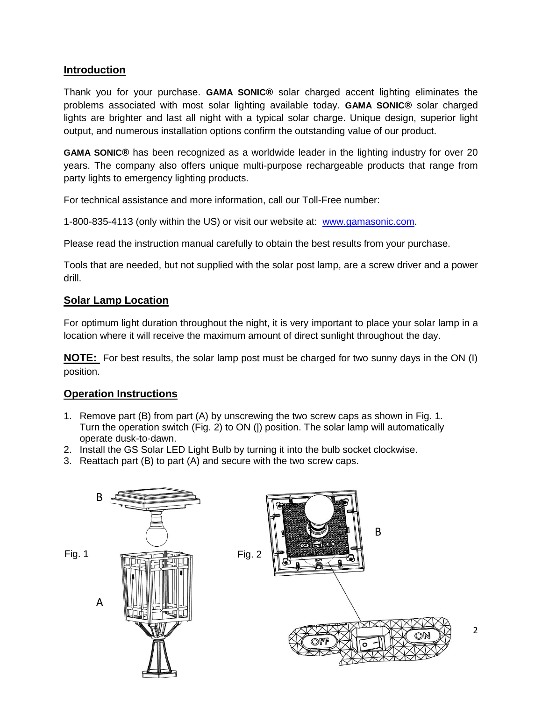## **Introduction**

Thank you for your purchase. **GAMA SONIC®** solar charged accent lighting eliminates the problems associated with most solar lighting available today. **GAMA SONIC®** solar charged lights are brighter and last all night with a typical solar charge. Unique design, superior light output, and numerous installation options confirm the outstanding value of our product.

**GAMA SONIC®** has been recognized as a worldwide leader in the lighting industry for over 20 years. The company also offers unique multi-purpose rechargeable products that range from party lights to emergency lighting products.

For technical assistance and more information, call our Toll-Free number:

1-800-835-4113 (only within the US) or visit our website at: [www.gamasonic.com.](http://www.gamasonic.com/)

Please read the instruction manual carefully to obtain the best results from your purchase.

Tools that are needed, but not supplied with the solar post lamp, are a screw driver and a power drill.

## **Solar Lamp Location**

For optimum light duration throughout the night, it is very important to place your solar lamp in a location where it will receive the maximum amount of direct sunlight throughout the day.

**NOTE:** For best results, the solar lamp post must be charged for two sunny days in the ON (I) position.

## **Operation Instructions**

- 1. Remove part (B) from part (A) by unscrewing the two screw caps as shown in Fig. 1. Turn the operation switch (Fig. 2) to ON (|) position. The solar lamp will automatically operate dusk-to-dawn.
- 2. Install the GS Solar LED Light Bulb by turning it into the bulb socket clockwise.
- 3. Reattach part (B) to part (A) and secure with the two screw caps.

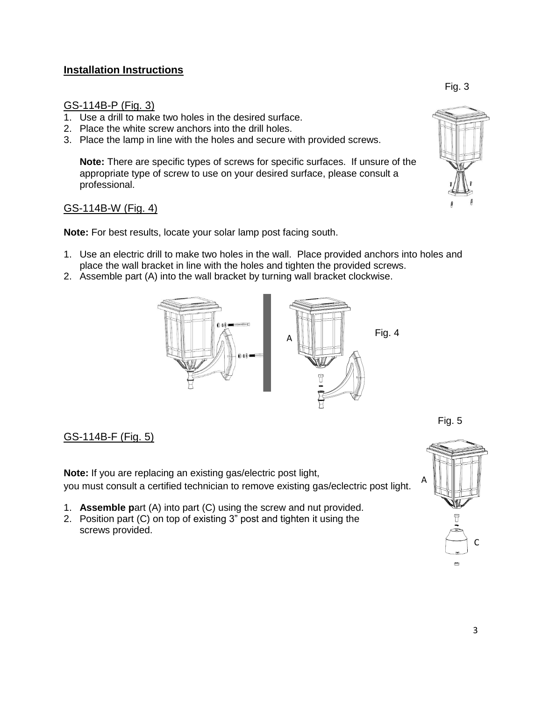## **Installation Instructions**

#### GS-114B-P (Fig. 3)

- 1. Use a drill to make two holes in the desired surface.
- 2. Place the white screw anchors into the drill holes.
- 3. Place the lamp in line with the holes and secure with provided screws.

**Note:** There are specific types of screws for specific surfaces. If unsure of the appropriate type of screw to use on your desired surface, please consult a professional.

#### GS-114B-W (Fig. 4)

**Note:** For best results, locate your solar lamp post facing south.

- 1. Use an electric drill to make two holes in the wall. Place provided anchors into holes and place the wall bracket in line with the holes and tighten the provided screws.
- 2. Assemble part (A) into the wall bracket by turning wall bracket clockwise.



## GS-114B-F (Fig. 5)

**Note:** If you are replacing an existing gas/electric post light, you must consult a certified technician to remove existing gas/eclectric post light.

- 1. **Assemble p**art (A) into part (C) using the screw and nut provided.
- 2. Position part (C) on top of existing 3" post and tighten it using the screws provided.





Fig. 5

Fig. 3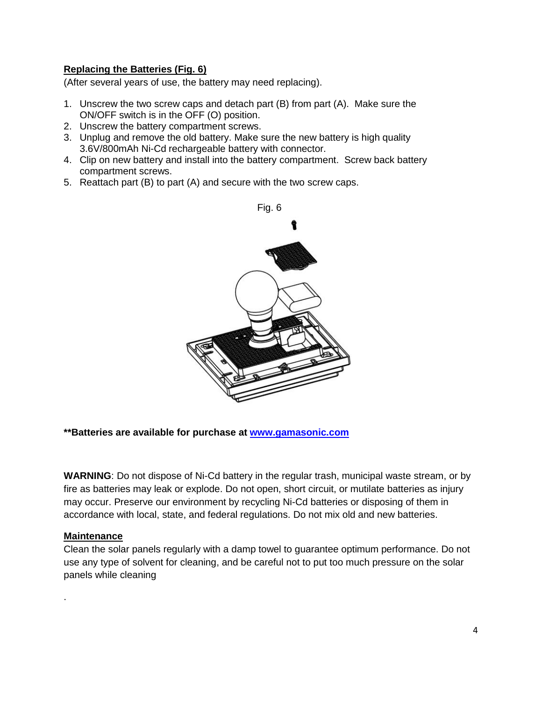## **Replacing the Batteries (Fig. 6)**

(After several years of use, the battery may need replacing).

- 1. Unscrew the two screw caps and detach part (B) from part (A). Make sure the ON/OFF switch is in the OFF (O) position.
- 2. Unscrew the battery compartment screws.
- 3. Unplug and remove the old battery. Make sure the new battery is high quality 3.6V/800mAh Ni-Cd rechargeable battery with connector.
- 4. Clip on new battery and install into the battery compartment. Screw back battery compartment screws.
- 5. Reattach part (B) to part (A) and secure with the two screw caps.



#### **\*\*Batteries are available for purchase at [www.gamasonic.com](http://www.gamasonicstore.com/)**

**WARNING**: Do not dispose of Ni-Cd battery in the regular trash, municipal waste stream, or by fire as batteries may leak or explode. Do not open, short circuit, or mutilate batteries as injury may occur. Preserve our environment by recycling Ni-Cd batteries or disposing of them in accordance with local, state, and federal regulations. Do not mix old and new batteries.

#### **Maintenance**

.

Clean the solar panels regularly with a damp towel to guarantee optimum performance. Do not use any type of solvent for cleaning, and be careful not to put too much pressure on the solar panels while cleaning